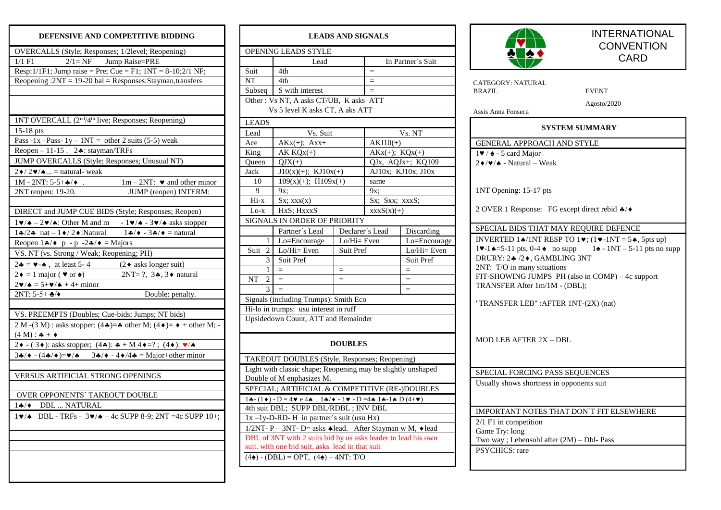## **DEFENSIVE AND COMPETITIVE BIDDING**

| OVERCALLS (Style; Responses; 1/2level; Reopening)                                                                                                                                     |  |  |  |  |  |  |
|---------------------------------------------------------------------------------------------------------------------------------------------------------------------------------------|--|--|--|--|--|--|
| $2/1 = NF$ Jump Raise=PRE<br>$1/1$ F1                                                                                                                                                 |  |  |  |  |  |  |
| Resp: $1/1F1$ ; Jump raise = Pre; Cue = F1; $1NT = 8-10;2/1NF$ ;                                                                                                                      |  |  |  |  |  |  |
| Reopening : $2NT = 19-20$ bal = Responses: Stayman, transfers                                                                                                                         |  |  |  |  |  |  |
|                                                                                                                                                                                       |  |  |  |  |  |  |
|                                                                                                                                                                                       |  |  |  |  |  |  |
|                                                                                                                                                                                       |  |  |  |  |  |  |
| 1NT OVERCALL (2 <sup>nd</sup> /4 <sup>th</sup> live; Responses; Reopening)                                                                                                            |  |  |  |  |  |  |
| 15-18 pts                                                                                                                                                                             |  |  |  |  |  |  |
| Pass -1x $\overline{-$ Pass-1y - 1NT = other 2 suits (5-5) weak                                                                                                                       |  |  |  |  |  |  |
| Reopen $-11-15$ . 2. stayman/TRFs                                                                                                                                                     |  |  |  |  |  |  |
| JUMP OVERCALLS (Style; Responses; Unusual NT)                                                                                                                                         |  |  |  |  |  |  |
| $2 \cdot 2 \cdot 2 \cdot \ldots$ = natural-weak                                                                                                                                       |  |  |  |  |  |  |
| $1M - 2NT: 5-5+A$ / $\bullet$ .<br>$1m - 2NT$ : $\blacktriangleright$ and other minor                                                                                                 |  |  |  |  |  |  |
| 2NT reopen: 19-20.<br>JUMP (reopen) INTERM:                                                                                                                                           |  |  |  |  |  |  |
|                                                                                                                                                                                       |  |  |  |  |  |  |
| DIRECT and JUMP CUE BIDS (Style; Responses; Reopen)                                                                                                                                   |  |  |  |  |  |  |
| $1\blacktriangleright/\blacktriangle - 2\blacktriangleright/\blacktriangle$ : Other M and m $-1\blacktriangleright/\blacktriangle - 3\blacktriangleright/\blacktriangle$ asks stopper |  |  |  |  |  |  |
| $1\cdot 2\cdot 2$ nat $-1\cdot 2\cdot 3$ : Natural<br>$1\clubsuit/\bullet - 3\clubsuit/\bullet =$ natural                                                                             |  |  |  |  |  |  |
| Reopen $1 \cdot 4$ $\rightarrow$ p - p -2 $\cdot 4$ $\rightarrow$ = Majors                                                                                                            |  |  |  |  |  |  |
| VS. NT (vs. Strong / Weak; Reopening; PH)                                                                                                                                             |  |  |  |  |  |  |
| $2 - 8 = 4$ , at least 5-4<br>$(2 \bullet$ asks longer suit)                                                                                                                          |  |  |  |  |  |  |
| $2\bullet = 1$ major ( $\bullet$ or $\bullet$ )<br>2NT= $?, 3*, 3 \bullet$ natural                                                                                                    |  |  |  |  |  |  |
|                                                                                                                                                                                       |  |  |  |  |  |  |
| $2\blacktriangledown/\blacktriangle = 5+\blacktriangledown/\blacktriangle + 4+\text{minor}$<br>$2NT: 5-5+$ $\clubsuit$ / $\blacklozenge$<br>Double: penalty.                          |  |  |  |  |  |  |
|                                                                                                                                                                                       |  |  |  |  |  |  |
| VS. PREEMPTS (Doubles; Cue-bids; Jumps; NT bids)                                                                                                                                      |  |  |  |  |  |  |
|                                                                                                                                                                                       |  |  |  |  |  |  |
| 2 M -(3 M) : asks stopper; (4 $\clubsuit$ )= $\clubsuit$ other M; (4 $\spadesuit$ )= $\spadesuit$ + other M; -                                                                        |  |  |  |  |  |  |
| $(4 M):$ $\clubsuit + \spadesuit$                                                                                                                                                     |  |  |  |  |  |  |
| 2 + - (3 +): asks stopper; (4 *): * + M 4 + = ? ; (4 +): $\blacktriangledown/\blacktriangle$                                                                                          |  |  |  |  |  |  |
| 34/ $\bullet$ - (44/ $\bullet$ )= $\bullet$ / $\bullet$ 34/ $\bullet$ - 4 $\bullet$ /44 = Major+other minor                                                                           |  |  |  |  |  |  |
|                                                                                                                                                                                       |  |  |  |  |  |  |
| VERSUS ARTIFICIAL STRONG OPENINGS                                                                                                                                                     |  |  |  |  |  |  |
|                                                                                                                                                                                       |  |  |  |  |  |  |
| OVER OPPONENTS' TAKEOUT DOUBLE                                                                                                                                                        |  |  |  |  |  |  |
| DBL  NATURAL<br>$1 + \rightarrow$                                                                                                                                                     |  |  |  |  |  |  |
| $1\blacktriangleright/\blacktriangle$ DBL - TRFs - $3\blacktriangleright/\blacktriangle$ - 4c SUPP 8-9; 2NT =4c SUPP 10+;                                                             |  |  |  |  |  |  |
|                                                                                                                                                                                       |  |  |  |  |  |  |
|                                                                                                                                                                                       |  |  |  |  |  |  |
|                                                                                                                                                                                       |  |  |  |  |  |  |
|                                                                                                                                                                                       |  |  |  |  |  |  |
|                                                                                                                                                                                       |  |  |  |  |  |  |

| <b>LEADS AND SIGNALS</b>                                                                                                                                                  |                                                               |                 |                    |                   |  |  |  |  |
|---------------------------------------------------------------------------------------------------------------------------------------------------------------------------|---------------------------------------------------------------|-----------------|--------------------|-------------------|--|--|--|--|
| OPENING LEADS STYLE                                                                                                                                                       |                                                               |                 |                    |                   |  |  |  |  |
|                                                                                                                                                                           | Lead                                                          |                 | In Partner's Suit  |                   |  |  |  |  |
| Suit                                                                                                                                                                      | 4th                                                           |                 | $=$                |                   |  |  |  |  |
| NT                                                                                                                                                                        | 4th                                                           |                 | $=$                |                   |  |  |  |  |
| Subseq                                                                                                                                                                    | S with interest                                               |                 | $=$                |                   |  |  |  |  |
|                                                                                                                                                                           | Other: Vs NT, A asks CT/UB, K asks ATT                        |                 |                    |                   |  |  |  |  |
|                                                                                                                                                                           | Vs 5 level K asks CT, A aks ATT                               |                 |                    |                   |  |  |  |  |
| $LEAD\overline{S}$                                                                                                                                                        |                                                               |                 |                    |                   |  |  |  |  |
| Lead                                                                                                                                                                      | Vs. Suit                                                      |                 | Vs. NT             |                   |  |  |  |  |
| Ace                                                                                                                                                                       | $AKx(+); Axx+$                                                |                 | $AKJ10(+)$         |                   |  |  |  |  |
| King                                                                                                                                                                      | $AK KQX(+)$                                                   |                 | $AKx(+); KQx(+)$   |                   |  |  |  |  |
| Queen                                                                                                                                                                     | $QJX(+)$                                                      |                 |                    | QJx, AQJx+; KQ109 |  |  |  |  |
| Jack                                                                                                                                                                      | $J10(x)(+)$ ; KJ $10x(+)$                                     |                 | AJ10x; KJ10x; J10x |                   |  |  |  |  |
| 10                                                                                                                                                                        | $109(x)(+); H109x(+)$                                         |                 | same               |                   |  |  |  |  |
| 9                                                                                                                                                                         | 9x;                                                           |                 | 9х;                |                   |  |  |  |  |
| $Hi-x$                                                                                                                                                                    | Sx; xxx(x)                                                    |                 | Sx; Sxx; xxxS;     |                   |  |  |  |  |
| $Lo-x$                                                                                                                                                                    | HxS; HxxxS                                                    |                 | $xxxxS(x)(+)$      |                   |  |  |  |  |
|                                                                                                                                                                           | SIGNALS IN ORDER OF PRIORITY                                  |                 |                    |                   |  |  |  |  |
|                                                                                                                                                                           | Partner's Lead                                                | Declarer's Lead | Discarding         |                   |  |  |  |  |
| 1                                                                                                                                                                         | Lo=Encourage                                                  | $Lo/H$ i= Even  |                    | Lo=Encourage      |  |  |  |  |
| Suit<br>2                                                                                                                                                                 | Lo/Hi= Even                                                   | Suit Pref       | Lo/Hi= Even        |                   |  |  |  |  |
| 3                                                                                                                                                                         | Suit Pref                                                     |                 | Suit Pref          |                   |  |  |  |  |
| 1                                                                                                                                                                         | $\equiv$                                                      | $=$             |                    | $=$               |  |  |  |  |
| NT<br>2                                                                                                                                                                   | $=$                                                           | $=$             |                    | $=$               |  |  |  |  |
| 3                                                                                                                                                                         |                                                               |                 |                    | $=$               |  |  |  |  |
|                                                                                                                                                                           | Signals (including Trumps): Smith Eco                         |                 |                    |                   |  |  |  |  |
|                                                                                                                                                                           | Hi-lo in trumps: usu interest in ruff                         |                 |                    |                   |  |  |  |  |
| Upsidedown Count, ATT and Remainder                                                                                                                                       |                                                               |                 |                    |                   |  |  |  |  |
| <b>DOUBLES</b>                                                                                                                                                            |                                                               |                 |                    |                   |  |  |  |  |
| TAKEOUT DOUBLES (Style, Responses; Reopening)                                                                                                                             |                                                               |                 |                    |                   |  |  |  |  |
| Light with classic shape; Reopening may be slightly unshaped                                                                                                              |                                                               |                 |                    |                   |  |  |  |  |
| Double of M enphasizes M.                                                                                                                                                 |                                                               |                 |                    |                   |  |  |  |  |
| SPECIAL; ARTIFICIAL & COMPETITIVE (RE-)DOUBLES                                                                                                                            |                                                               |                 |                    |                   |  |  |  |  |
| $1\clubsuit$ -(1 $\bullet$ ) - D = 4 $\bullet$ e 4 $\bullet$ 1 $\clubsuit$ / $\bullet$ - 1 $\bullet$ - D = 4 $\spadesuit$ 1 $\clubsuit$ -1 $\spadesuit$ D (4+ $\bullet$ ) |                                                               |                 |                    |                   |  |  |  |  |
| 4th suit DBL; SUPP DBL/RDBL; INV DBL                                                                                                                                      |                                                               |                 |                    |                   |  |  |  |  |
| 1x-1y-D-RD-H in partner's suit (usu Hx)                                                                                                                                   |                                                               |                 |                    |                   |  |  |  |  |
| 1/2NT- P - 3NT- D= asks ◆ lead. After Stayman w M, ◆ lead                                                                                                                 |                                                               |                 |                    |                   |  |  |  |  |
|                                                                                                                                                                           | DBL of 3NT with 2 suits bid by us asks leader to lead his own |                 |                    |                   |  |  |  |  |
|                                                                                                                                                                           | suit. with one bid suit, asks lead in that suit               |                 |                    |                   |  |  |  |  |
| $(4\spadesuit)$ - (DBL) = OPT, $(4\spadesuit)$ – 4NT: T/O                                                                                                                 |                                                               |                 |                    |                   |  |  |  |  |



INTERNATIONAL **CONVENTION** CARD

| CATEGORY: NATURAL                                                                      |                                                                                                                                  |  |  |  |  |  |  |
|----------------------------------------------------------------------------------------|----------------------------------------------------------------------------------------------------------------------------------|--|--|--|--|--|--|
| BRAZIL                                                                                 | <b>EVENT</b>                                                                                                                     |  |  |  |  |  |  |
| Assis Anna Fonseca                                                                     | Agosto/2020                                                                                                                      |  |  |  |  |  |  |
| <b>SYSTEM SUMMARY</b>                                                                  |                                                                                                                                  |  |  |  |  |  |  |
|                                                                                        |                                                                                                                                  |  |  |  |  |  |  |
| GENERAL APPROACH AND STYLE<br>$1\blacktriangleright$ / $\blacktriangle$ - 5 card Major |                                                                                                                                  |  |  |  |  |  |  |
| $2\blacklozenge/\blacktriangledown/\blacktriangle$ - Natural – Weak                    |                                                                                                                                  |  |  |  |  |  |  |
|                                                                                        |                                                                                                                                  |  |  |  |  |  |  |
|                                                                                        |                                                                                                                                  |  |  |  |  |  |  |
| 1NT Opening: 15-17 pts                                                                 |                                                                                                                                  |  |  |  |  |  |  |
| 2 OVER 1 Response: FG except direct rebid $\clubsuit/\blacklozenge$                    |                                                                                                                                  |  |  |  |  |  |  |
| SPECIAL BIDS THAT MAY REQUIRE DEFENCE                                                  |                                                                                                                                  |  |  |  |  |  |  |
|                                                                                        | INVERTED 14/1NT RESP TO 1 $\blacktriangledown$ ; (1 $\blacktriangledown$ -1NT = 54, 5pts up)                                     |  |  |  |  |  |  |
|                                                                                        | $1\blacktriangleright -1 \blacktriangle = 5 - 11$ pts, 0-4 $\blacktriangle$ no supp $1\blacktriangle = 1NT - 5 - 11$ pts no supp |  |  |  |  |  |  |
| DRURY: 24 /2+, GAMBLING 3NT                                                            |                                                                                                                                  |  |  |  |  |  |  |
| 2NT: T/O in many situations                                                            |                                                                                                                                  |  |  |  |  |  |  |
| TRANSFER After 1m/1M - (DBL);                                                          | FIT-SHOWING JUMPS PH (also in COMP) – 4c support                                                                                 |  |  |  |  |  |  |
|                                                                                        |                                                                                                                                  |  |  |  |  |  |  |
| "TRANSFER LEB": AFTER 1NT-(2X) (nat)                                                   |                                                                                                                                  |  |  |  |  |  |  |
|                                                                                        |                                                                                                                                  |  |  |  |  |  |  |
|                                                                                        |                                                                                                                                  |  |  |  |  |  |  |
| <b>MOD LEB AFTER 2X - DBL</b>                                                          |                                                                                                                                  |  |  |  |  |  |  |
|                                                                                        |                                                                                                                                  |  |  |  |  |  |  |
|                                                                                        |                                                                                                                                  |  |  |  |  |  |  |
| SPECIAL FORCING PASS SEQUENCES                                                         |                                                                                                                                  |  |  |  |  |  |  |
| Usually shows shortness in opponents suit                                              |                                                                                                                                  |  |  |  |  |  |  |
|                                                                                        |                                                                                                                                  |  |  |  |  |  |  |
|                                                                                        | <b>IMPORTANT NOTES THAT DON'T FIT ELSEWHERE</b>                                                                                  |  |  |  |  |  |  |
| 2/1 F1 in competition                                                                  |                                                                                                                                  |  |  |  |  |  |  |
| Game Try: long                                                                         |                                                                                                                                  |  |  |  |  |  |  |
| Two way ; Lebensohl after (2M) - Dbl- Pass                                             |                                                                                                                                  |  |  |  |  |  |  |
| PSYCHICS: rare                                                                         |                                                                                                                                  |  |  |  |  |  |  |
|                                                                                        |                                                                                                                                  |  |  |  |  |  |  |